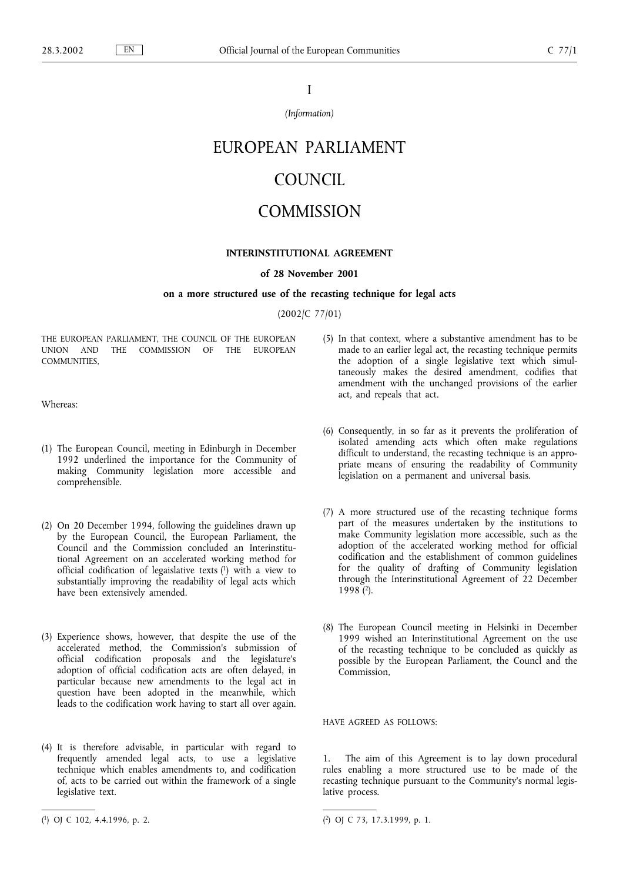I

*(Information)*

# EUROPEAN PARLIAMENT

## COUNCIL

### **COMMISSION**

#### **INTERINSTITUTIONAL AGREEMENT**

#### **of 28 November 2001**

#### **on a more structured use of the recasting technique for legal acts**

(2002/C 77/01)

THE EUROPEAN PARLIAMENT, THE COUNCIL OF THE EUROPEAN UNION AND THE COMMISSION OF THE EUROPEAN COMMUNITIES,

Whereas:

- (1) The European Council, meeting in Edinburgh in December 1992 underlined the importance for the Community of making Community legislation more accessible and comprehensible.
- (2) On 20 December 1994, following the guidelines drawn up by the European Council, the European Parliament, the Council and the Commission concluded an Interinstitutional Agreement on an accelerated working method for official codification of legaislative texts (1) with a view to substantially improving the readability of legal acts which have been extensively amended.
- (3) Experience shows, however, that despite the use of the accelerated method, the Commission's submission of official codification proposals and the legislature's adoption of official codification acts are often delayed, in particular because new amendments to the legal act in question have been adopted in the meanwhile, which leads to the codification work having to start all over again.
- (4) It is therefore advisable, in particular with regard to frequently amended legal acts, to use a legislative technique which enables amendments to, and codification of, acts to be carried out within the framework of a single legislative text.
- (5) In that context, where a substantive amendment has to be made to an earlier legal act, the recasting technique permits the adoption of a single legislative text which simultaneously makes the desired amendment, codifies that amendment with the unchanged provisions of the earlier act, and repeals that act.
- (6) Consequently, in so far as it prevents the proliferation of isolated amending acts which often make regulations difficult to understand, the recasting technique is an appropriate means of ensuring the readability of Community legislation on a permanent and universal basis.
- (7) A more structured use of the recasting technique forms part of the measures undertaken by the institutions to make Community legislation more accessible, such as the adoption of the accelerated working method for official codification and the establishment of common guidelines for the quality of drafting of Community legislation through the Interinstitutional Agreement of 22 December  $1998(2)$ .
- (8) The European Council meeting in Helsinki in December 1999 wished an Interinstitutional Agreement on the use of the recasting technique to be concluded as quickly as possible by the European Parliament, the Councl and the Commission,

HAVE AGREED AS FOLLOWS:

1. The aim of this Agreement is to lay down procedural rules enabling a more structured use to be made of the recasting technique pursuant to the Community's normal legislative process.

<sup>(</sup> 1) OJ C 102, 4.4.1996, p. 2. (

<sup>2)</sup> OJ C 73, 17.3.1999, p. 1.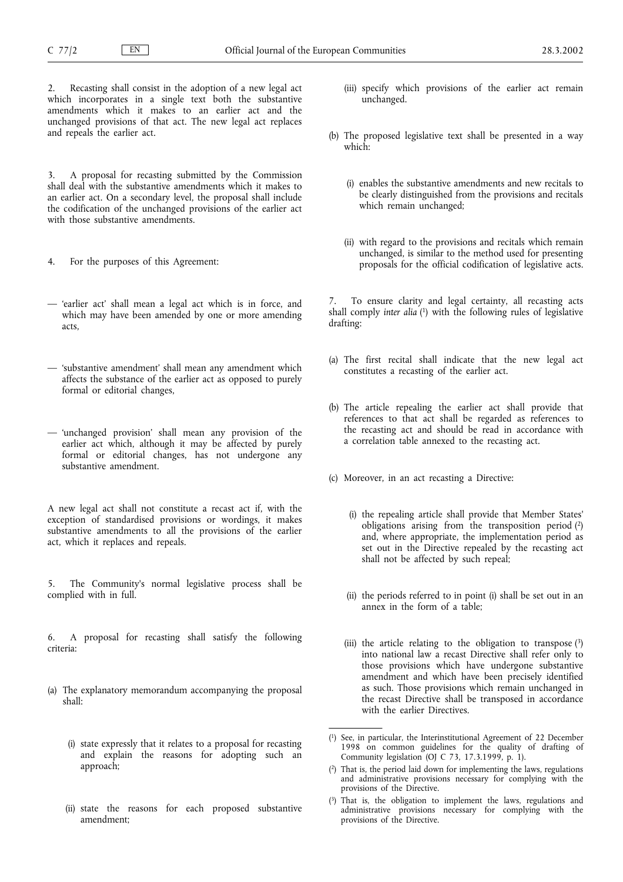Recasting shall consist in the adoption of a new legal act which incorporates in a single text both the substantive amendments which it makes to an earlier act and the unchanged provisions of that act. The new legal act replaces and repeals the earlier act.

3. A proposal for recasting submitted by the Commission shall deal with the substantive amendments which it makes to an earlier act. On a secondary level, the proposal shall include the codification of the unchanged provisions of the earlier act with those substantive amendments.

- 4. For the purposes of this Agreement:
- 'earlier act' shall mean a legal act which is in force, and which may have been amended by one or more amending acts,
- 'substantive amendment' shall mean any amendment which affects the substance of the earlier act as opposed to purely formal or editorial changes,
- 'unchanged provision' shall mean any provision of the earlier act which, although it may be affected by purely formal or editorial changes, has not undergone any substantive amendment.

A new legal act shall not constitute a recast act if, with the exception of standardised provisions or wordings, it makes substantive amendments to all the provisions of the earlier act, which it replaces and repeals.

5. The Community's normal legislative process shall be complied with in full.

6. A proposal for recasting shall satisfy the following criteria:

- (a) The explanatory memorandum accompanying the proposal shall:
	- (i) state expressly that it relates to a proposal for recasting and explain the reasons for adopting such an approach;
	- (ii) state the reasons for each proposed substantive amendment;
- (iii) specify which provisions of the earlier act remain unchanged.
- (b) The proposed legislative text shall be presented in a way which:
	- (i) enables the substantive amendments and new recitals to be clearly distinguished from the provisions and recitals which remain unchanged;
	- (ii) with regard to the provisions and recitals which remain unchanged, is similar to the method used for presenting proposals for the official codification of legislative acts.

To ensure clarity and legal certainty, all recasting acts shall comply *inter alia* ( 1) with the following rules of legislative drafting:

- (a) The first recital shall indicate that the new legal act constitutes a recasting of the earlier act.
- (b) The article repealing the earlier act shall provide that references to that act shall be regarded as references to the recasting act and should be read in accordance with a correlation table annexed to the recasting act.
- (c) Moreover, in an act recasting a Directive:
	- (i) the repealing article shall provide that Member States' obligations arising from the transposition period (2) and, where appropriate, the implementation period as set out in the Directive repealed by the recasting act shall not be affected by such repeal;
	- (ii) the periods referred to in point (i) shall be set out in an annex in the form of a table;
	- (iii) the article relating to the obligation to transpose  $(3)$ into national law a recast Directive shall refer only to those provisions which have undergone substantive amendment and which have been precisely identified as such. Those provisions which remain unchanged in the recast Directive shall be transposed in accordance with the earlier Directives.

( 3) That is, the obligation to implement the laws, regulations and administrative provisions necessary for complying with the provisions of the Directive.

<sup>(</sup> 1) See, in particular, the Interinstitutional Agreement of 22 December 1998 on common guidelines for the quality of drafting of Community legislation (OJ C 73, 17.3.1999, p. 1).

<sup>(</sup> 2) That is, the period laid down for implementing the laws, regulations and administrative provisions necessary for complying with the provisions of the Directive.